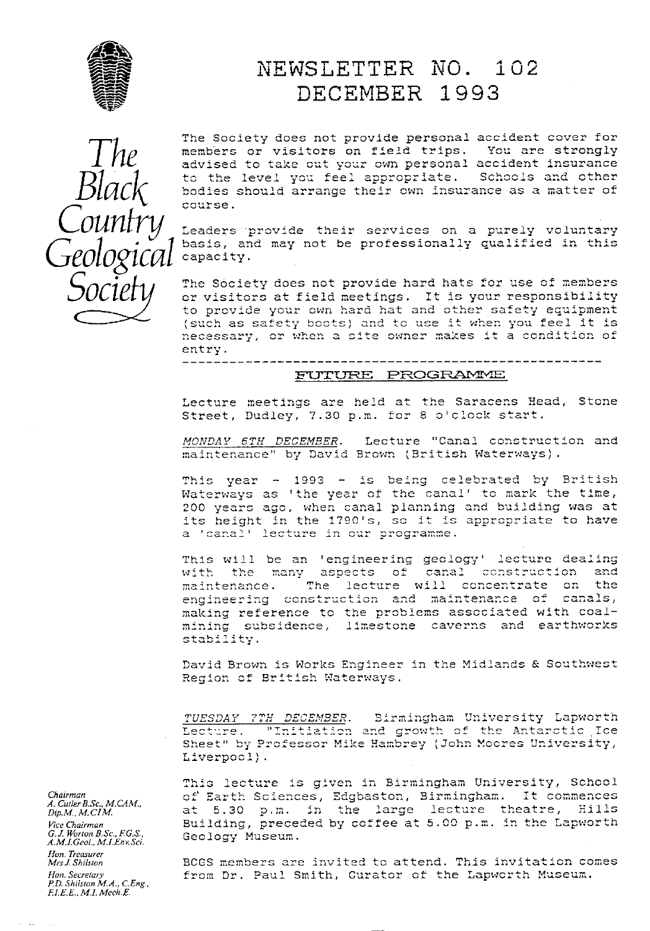

## NEWSLETTER NO. 102 DECEMBER 1993



The Society does not provide personal accident cover for members or visitors on field trips. You are strongly advised to take out your own personal accident insurance to the level you feel appropriate. Schools and other bodies should arrange their own insurance as a matter of course.

Leaders provide their services on a purely voluntary basis, and may not be professionally qualified in this capacity.

The Society does not provide hard hats for use of members or visitors at field meetings. It is your responsibility to provide your own hard hat and other safety equipment<br>(such as safety boots) and to use it when you feel it is necessary, or when a site owner makes it a condition of entry.

#### FUTURE PROGRAMME

Lecture meetings are held at the Saracens Head, Stone Street, Dudley, 7.30 p.m. for 8 o'clock start.

MONDAY 6TH DECEMBER. Lecture "Canal construction and maintenance" by David Brown (British Waterways).

This year - 1993 - is being celebrated by British Waterways as 'the year of the canal' to mark the time, 200 years ago, when canal planning and building was at its height in the 1790's, so it is appropriate to have a 'canal' lecture in our programme.

This will be an 'engineering geology' lecture dealing with the many aspects of canal construction and The lecture will concentrate on the maintenance. engineering construction and maintenance of canals, making reference to the problems associated with coalmining subsidence, limestone caverns and earthworks stability.

David Brown is Works Engineer in the Midlands & Southwest Region of British Waterways.

TUESDAY 7TH DECEMBER. Sirmingham University Lapworth Lecture. "Initiation and growth of the Antarctic Ice Sheet" by Professor Mike Hambrey (John Moores University, Liverpool).

This lecture is given in Birmingham University, School of Earth Sciences, Edgbaston, Birmingham. It commences at 5.30 p.m. in the large lecture theatre, Hills Building, preceded by coffee at 5.00 p.m. in the Lapworth Geology Museum.

BCGS members are invited to attend. This invitation comes from Dr. Paul Smith, Curator of the Lapworth Museum.

Chairman A. Cutler B.Sc., M.CAM.,  $Dip, M., M. CIM.$ Vice Chairman<br>G.J. Worton B.Sc., F.G.S.,<br>A.M.I.Geol., M.I.Env.Sci. Hon. Treasurer Mrs J. Shilston Hon, Secretary<br>P.D. Shilston M.A., C.Eng.,<br>F.I.E.E., M.I. Mech.E.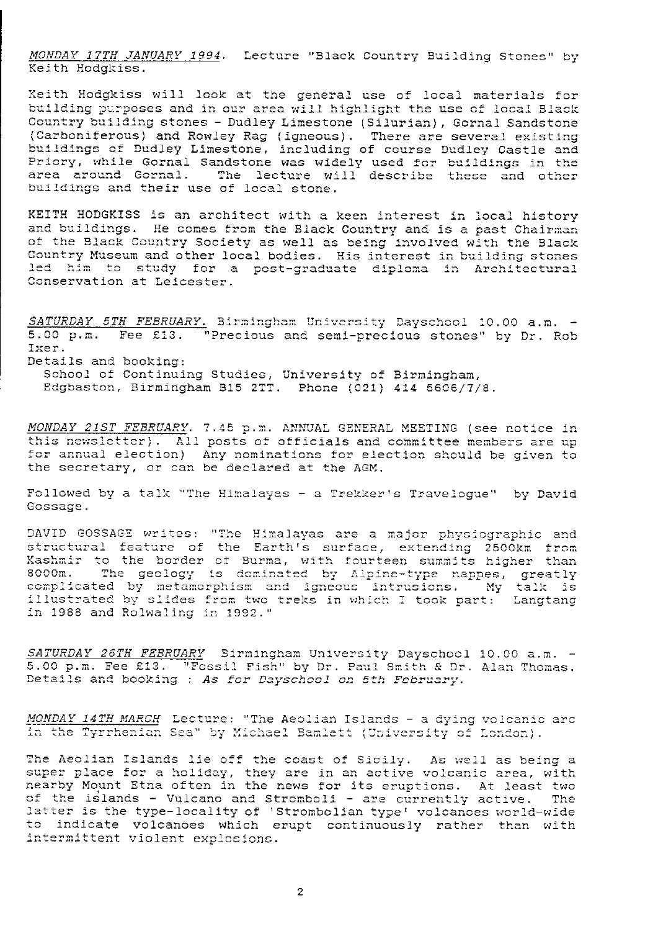MONDAY 17TH JANUARY 1994. Lecture "Black Country Building Stones" by Keith Hodgkiss.

Keith Hodgkiss will look at the general use of local materials for building purposes and in our area will highlight the use of local Black Country building stones - Dudley Limestone (Silurian), Gornal Sandstone (Carboniferous) and Rowley Rag (igneous). There are several existing<br>buildings of Dudley Limestone, including of course Dudley Castle and<br>Priory, while Gornal Sandstone was widely used for buildings in the area around Gornal. The lecture will describe these and other buildings and their use of local stone.

KEITH HODGKISS is an architect with a keen interest in local history and buildings. He comes from the Black Country and is a past Chairman of the Black Country Society as well as being involved with the Black Country Museum and other local bodies. His interest in building stones led him to study for a post-graduate diploma in Architectural Conservation at Leicester.

SATURDAY 5TH FEBRUARY. Birmingham University Dayschool 10.00 a.m. -<br>5.00 p.m. Fee £13. "Precious and semi-precious stones" by Dr. Rob Ixer. Details and booking: School of Continuing Studies, University of Birmingham, Edgbaston, Birmingham B15 2TT. Phone (021) 414 5606/7/8.

MONDAY 21ST FEBRUARY. 7.45 p.m. ANNUAL GENERAL MEETING (see notice in this newsletter). All posts of officials and committee members are up for annual election) Any nominations for election should be given to the secretary, or can be declared at the AGM.

Followed by a talk "The Himalayas - a Trekker's Traveloque" by David Gossage.

DAVID GOSSAGE writes: "The Himalayas are a major physiographic and<br>structural feature of the Earth's surface, extending 2500km from<br>Kashmir to the border of Burma, with fourteen summits higher than 8000m. The geology is dominated by Alpine-type nappes, greatly complicated by metamorphism and igneous intrusions. My talk is illustrated by slides from two treks in which I took part: Langtang in 1988 and Rolwaling in 1992."

SATURDAY 26TH FEBRUARY Sirmingham University Dayschool 10.00 a.m. -5.00 p.m. Fee £13. "Fossil Fish" by Dr. Paul Smith & Dr. Alan Thomas. Details and booking : As for Dayschool on 5th February.

MONDAY 14TH MARCH Lecture: "The Aeolian Islands - a dying volcanic arc in the Tyrrhenian Sea" by Michael Bamlett (University of London).

The Aeolian Islands lie off the coast of Sicily. As well as being a super place for a holiday, they are in an active volcanic area, with nearby Mount Etna often in the news for its eruptions. At least two of the islands - Vulcano and Stromboli - are currently active. The latter is the type-locality of 'Strombolian type' volcanoes world-wide to indicate volcanoes which erupt continuously rather than with intermittent violent explosions.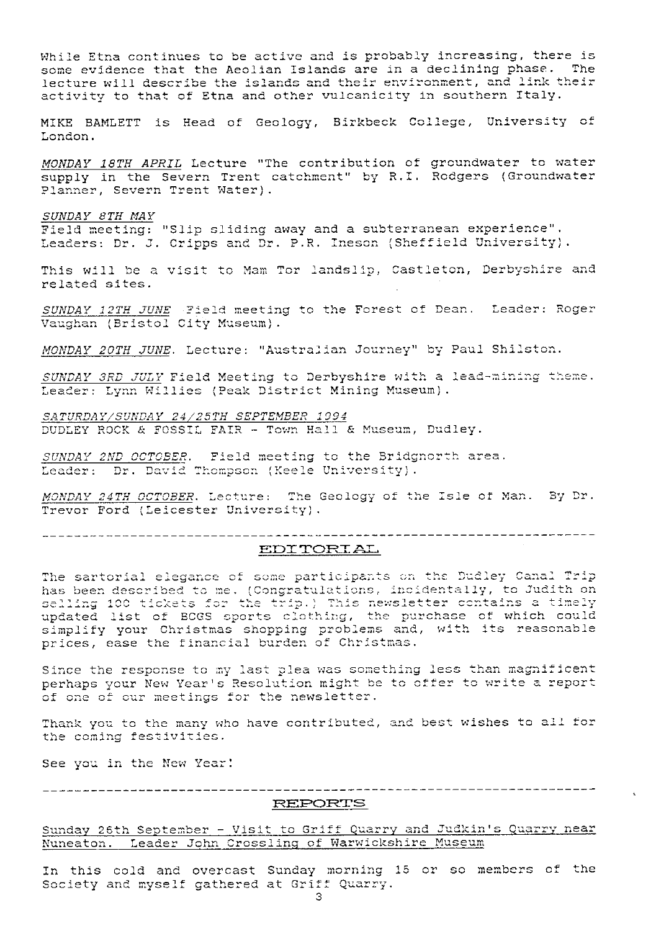While Etna continues to be active and is probably increasing, there is some evidence that the Aeolian Islands are in a declining phase. The lecture will describe the islands and their environment, and link their activity to that of Etna and other vulcanicity in southern Italy. MIKE BAMLETT is Head of Geology, Birkbeck College, University of London. MONDAY 18TH APRIL Lecture "The contribution of groundwater to water supply in the Severn Trent catchment" by R.I. Rodgers (Groundwater Planner. Severn Trent Water). SUNDAY 8TH MAY Field meeting: "Slip sliding away and a subterranean experience". Leaders: Dr. J. Cripps and Dr. P.R. Ineson (Sheffield University). This will be a visit to Mam Tor landslip, Castleton, Derbyshire and related sites. SUNDAY 12TH JUNE Field meeting to the Forest of Dean. Leader: Roger Vaughan (Bristol City Museum). MONDAY 20TH JUNE. Lecture: "Australian Journey" by Paul Shilston. SUNDAY 3RD JULY Field Meeting to Derbyshire with a lead-mining theme. Leader: Lynn Willies (Peak District Mining Museum). SATURDAY/SUNDAY 24/25TH SEPTEMBER 1994 DUDLEY ROCK & FOSSIL FAIR - Town Hall & Museum, Dudley. SUNDAY 2ND OCTOBER. Field meeting to the Bridgnorth area. Leader: Dr. David Thompson (Keele University). MONDAY 24TH OCTOBER. Lecture: The Geology of the Isle of Man. By Dr. Trevor Ford (Leicester University). \_\_\_\_\_\_\_\_\_\_\_\_\_\_\_\_\_\_\_\_\_\_\_\_\_\_\_\_\_ EDITORIAL The sartorial elegance of some participants on the Dudley Canal Trip has been described to me. (Congratulations, incidentally, to Judith on nas been described to me. (SSISPRACIACIONS) includes their of selling 100 tickets for the trip.) This newsletter contains a timely updated list of BCGS oports clothing, the purchase of which could simplify your Christmas s prices, ease the financial burden of Christmas. Since the response to my last plea was something less than magnificent perhaps your New Year's Resolution might be to offer to write a report of one of our meetings for the newsletter.

Thank you to the many who have contributed, and best wishes to all for the coming festivities.

See you in the New Year!

#### REPORTS

Sunday 26th September - Visit to Griff Quarry and Judkin's Quarry near Nuneaton. Leader John Crossling of Warwickshire Museum

In this cold and overcast Sunday morning 15 or so members of the Society and myself gathered at Griff Quarry.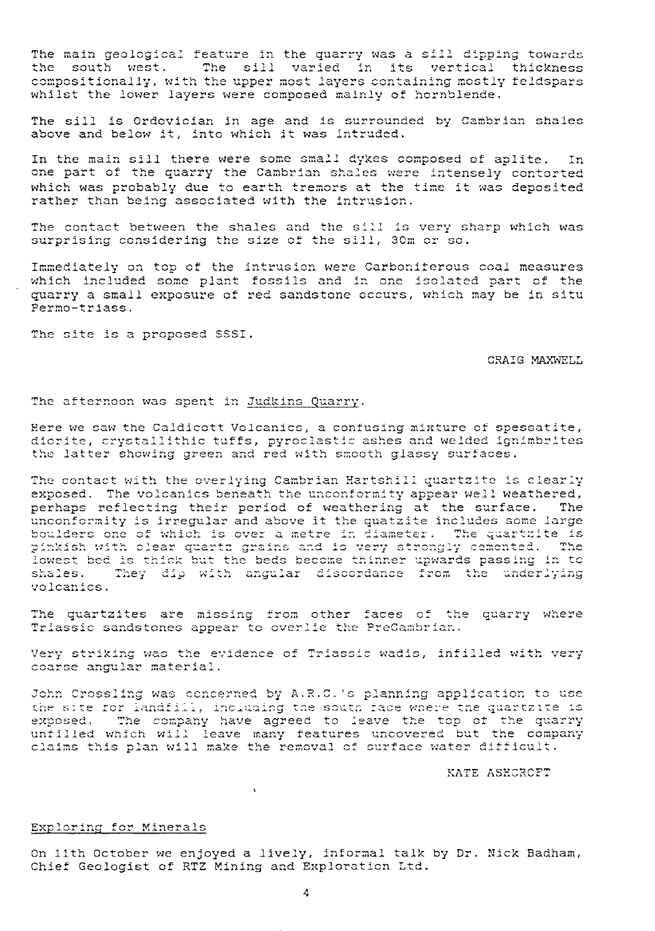The main geological feature in the quarry was a sill dipping towards the south west. The sill varied in its vertical thickness compositionally, with the upper mos t layers containing mostly feldspars f hornblende. whilst the lower layers were composed mainly of hornblende.

The sill is Ordovician in age and is surrounded by Cambrian shales above and below it, into which it was intruded.

In the main sill there were some small dykes composed of aplite. In In the main sill there were some small dykes composed of apitte. In<br>one part of the quarry the Cambrian shales were intensely contorted which was probably due to earth tremors at the time it was deposited rather than being associated with the intrusion.

The contact between the shales and the sill is very sharp which was The contact between the shales and the sill is very s<br>surprising considering the size of the sill, 30m or so.

Immediately on top of the intrusion were Carboniferous coal measures The contact between the shales and the sill is very sharp which was<br>surprising considering the size of the sill, 30m or so.<br>Immediately on top of the intrusion were Carboniferous coal measures<br>which included some plant fos quarry a small exposure of red sandstone occurs, which may be in situ Permo-triass.

The site is a proposed SSSI.

#### CRAIG MAXWELL

The afternoon was spent in <u>Judkins Quarr</u>

Here we saw the Caldicott Volcanics, a confusing mixture of spessatite, diorite, crystallithic tuffs, pyroclastic ashes and welded ignimbrites norice, orystallights tails, pyrosiastic ashes and welded ig.<br>he latter showing green and red with smooth glassy surfaces.

the latter showing green and red with smooth gla<br>The contact with the overlying Cambrian Hartshill e contact with the overlying Cambrian Hartshill quartzite is clearly exposed. The volcanics beneath the unconformity appear well weathered,<br>perhaps reflecting their period of weathering at the surface. The the contact with the overli<sub>fting</sub> cambrian narteniit quartite is clearly<br>sposed. The volcanics beneath the unconformity appear well weathered,<br>erhaps reflecting their period of weathering at the surface. The unconformity is irregular and above it the quatzite includes some large boulders one of which is over a metre in diameter. The quartzite is inkish with clear quartz grains and is very strongly cemented. The difference the difference the district instance some large<br>boulders one of which is over a metre in diameter. The quartzite is<br>pinkish with clear quartz grains and is very strongly cemented. The<br>lowest bed is thick but the shales. They dip with angular discordance from the underlying volcanics.

The quartzites are missing from other faces of the quarry where Triassic sandstones appear to overlie the PreCambrian.

very<br>Very striking was the evidence of Triassic wadis, infilled with very<br>coarse angular material.

John Crossling was concerned by A.R.C.'s planning application to use John Crossling was concerned by A.R.C.'s planning application to use<br>the site for landfill, including the south face where the quartzite is exposed. The company have agreed to leave the top of the quarry unfilled which will leave many features uncovered but the company claims this plan will make the removal of surface water difficult.

KATE ASHCRCFT

#### *Lxploring for Minerals*

On 11th October we enjoyed a lively, informal talk by Dr. Nick Badham, Chief Geologist of RTZ Mining and Exploration Ltd.

L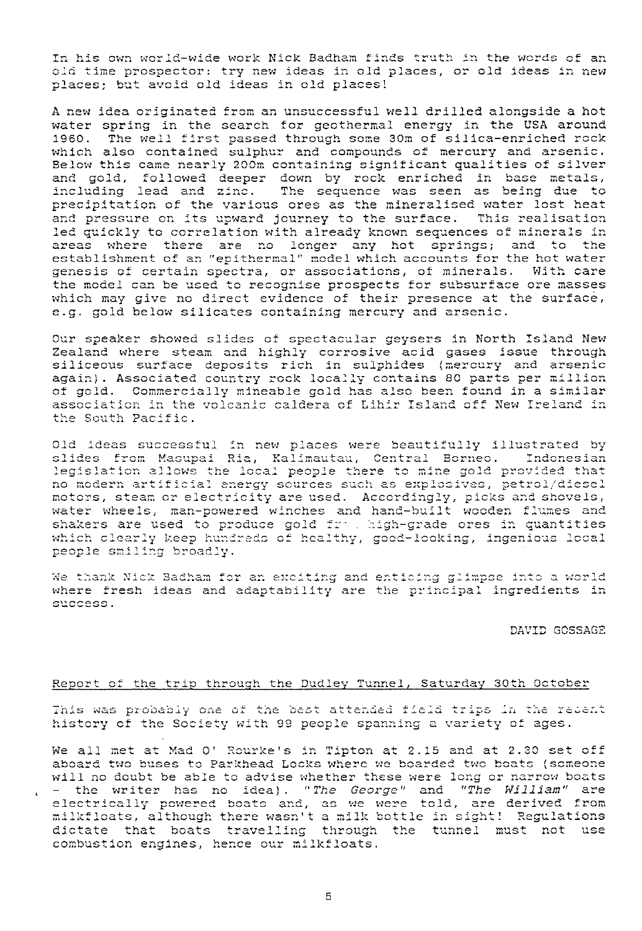In his own world-wide work Nick Badham finds truth in the words of an old time prospector: try new ideas in old places, or old ideas in new places; but avoid old ideas in old places!

A new idea originated from an unsuccessful well drilled alongside a hot water spring in the search for geothermal energy in the USA around 1960. The well first passed through some 30m of silica-enriched rock which also contained sulphur and compounds of mercury and arsenic. Below this came nearly 200m containing significant qualities of silver and gold, followed deeper down by rock enriched in base metals,<br>including lead and zinc. The sequence was seen as being due to precipitation of the various ores as the mineralised water lost heat and pressure on its upward journey to the surface. This realisation led quickly to correlation with already known sequences of minerals in areas where there are no longer any hot springs; and to the establishment of an "epithermal" model which accounts for the hot water genesis of certain spectra, or associations, of minerals. With care the model can be used to recognise prospects for subsurface ore masses which may give no direct evidence of their presence at the surface, e.g. gold below silicates containing mercury and arsenic.

Our speaker showed slides of spectacular geysers in North Island New Zealand where steam and highly corrosive acid gases issue through<br>siliceous surface deposits rich in sulphides (mercury and arsenic<br>again). Associated country rock locally contains 80 parts per million<br>of gold. Commerciall association in the volcanic caldera of Lihir Island off New Ireland in the South Pacific.

Old ideas successful in new places were beautifully illustrated by slides from Masupai Ria, Kalimautau, Central Borneo. Indonesian legislation allows the local people there to mine gold provided that<br>no modern artificial energy sources such as explosives, petrol/diesel<br>motors, steam or electricity are used. Accordingly, picks and shovels, water wheels, man-powered winches and hand-built wooden flumes and shakers are used to produce gold from high-grade ores in quantities which clearly keep hundreds of healthy, good-looking, ingenious local people smiling broadly.

We thank Nick Badham for an exciting and enticing glimpse into a world where fresh ideas and adaptability are the principal ingredients in success.

DAVID GOSSAGE

#### Report of the trip through the Dudley Tunnel, Saturday 30th October

This was probably one of the best attended field trips in the recent history of the Society with 99 people spanning a variety of ages.

We all met at Mad O' Rourke's in Tipton at 2.15 and at 2.30 set off aboard two buses to Parkhead Locks where we boarded two boats (someone will no doubt be able to advise whether these were long or narrow boats - the writer has no idea). "The George" and "The William" are<br>electrically powered boats and, as we were told, are derived from milkfloats, although there wasn't a milk bottle in sight! Regulations dictate that boats travelling through the tunnel must not use combustion engines, hence our milkfloats.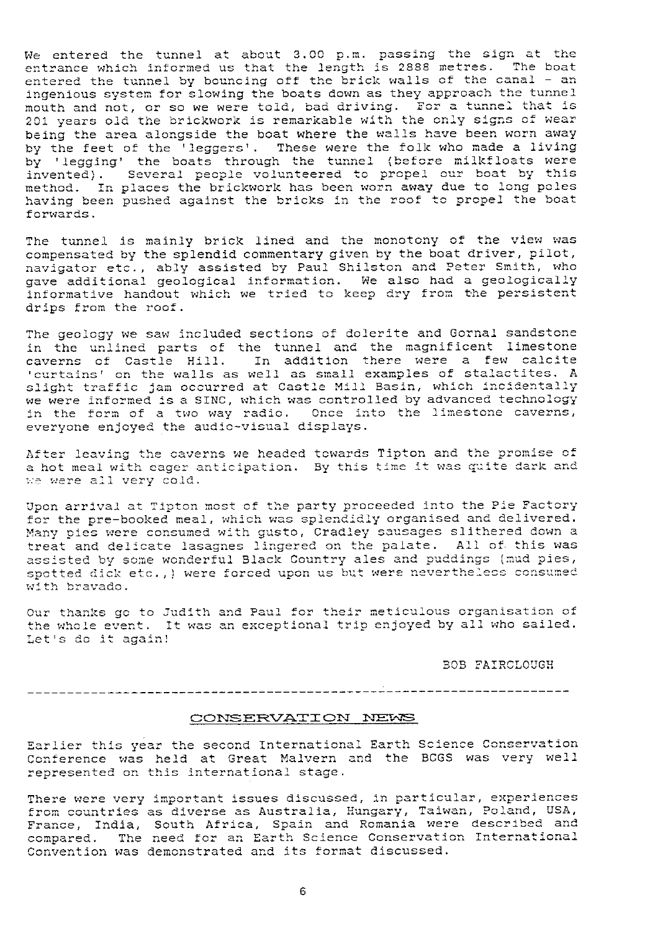We entered the tunnel at about 3.00 p.m. passing the sign at the<br>entrance which informed us that the length is 2888 metres. The boat<br>intered the tunnel by bounging off the bright wolls of the capal - an We entered the tunnel at about 3.00 p.m. passing the sign at the entrance which informed us that the fength is 2000 mettes. The boat<br>entered the tunnel by bouncing off the brick walls of the canal - an<br>inconjust custom for alouing the boate deur 20 they annuaseb the tunnel entered the tunner by bouncing off the brick wairs of the bandi and mouth and not, or so we were told, bad driving. For a tunnel that is 201 years old the brickwork is remarkable with the only signs of wear being the area alongside the boat where the walls have been worn away by the feet of the 'leggers'. These were the folk who made a living by the feet of the 'leggers'. These were the folk who<br>by 'legging' the boats through the tunnel (before mi Ingenious system for slowing of the brick warry opproach the tunnel<br>mouth and not, or so we were told, bad driving. For a tunnel that is<br>201 years old the brickwork is remarkable with the only signs of wear<br>being the area method. In places the brickwork has been worn away due to long poles<br>having been pushed against the bricks in the roof to propel the boat we thear the prate  $\frac{1}{2}$ longside the boat where the walls have been worn away<br>the 'leggers'. These were the folk who made a living<br>ne boats through the tunnel (before milkfloats were<br>eral people volunteered to propel our boat by this<br>les the bric forwards.

The tunnel is mainly brick lined and the monotony of the view was compensated by the splendid commentary given by the boat driver, pilot, compensated by the spiendid commentary given by the boat dirver, priot, and peter smith, who navigator etc., abiy assisted by fuar onficedn and reter omith, who informative handout which we tried to keep dry from the persistent drips from the roof.

The geology we saw included sections of dolerite and Gornal sandstone in the unlined parts of the tunnel and the magnificent limestone in the unlined parts of the tunnel and the magnificent limestone<br>caverns of Castle Hill. In addition there were a few calcite<br>https://www.addition.com/www.addition.com/www.addition.com/www.addition.com/www.addition.com/www 'averns' of tastie "mil." In addition there were a few taitlies.<br>Curtains' on the walls as well as small examples of stalactites. A " curtains' on the walls as well as small examples of stalactites. A<br>slight traffic jam occurred at Castle Mill Basin, which incidentally<br>in a case of the Cast of the controlled by advanced tarberleave colerite a<br>d the mag<br>there we<br>l examples<br>ll Basin,<br>rolled by<br>into the we were informed is a SINC, which was controlled by advanced technology we were informed is a SINC, which was controlled by advanced technology<br>in the form of a two way radio. Once into the limestone caverns, everyone enjoyed the audio-visual displays.

)<br>After leaving the caverns we headed towards Tipton and the promise of After leaving the caverns we headed towards Tipton and the promise of<br>a hot meal with eager anticipation. By this time it was quite dark and two way radio. Unce into the<br>he audio-visual displays.<br>Raverns we headed towards Tiptor<br>er anticipation. By this time is<br>ald. we were all very cold.

Upon arrival at Tipton most of the party proceeded into th<sup>e</sup> Pie Factory for the pre-booked meal, which was splendidly organised and delivered. Many pies were consumed with gusto, Cradley sausages slithered down a treat and delicate lasagnes lingered on the palate. All of this was treat and delicate lasagnes lingered on the palate. All of this was<br>assisted by some wonderful Black Country ales and puddings (mud pies,<br>spotted dick etc.,) were forced upon us but were nevertheless consumed<br>with bravado. assisted by some wonderful Black Country ales and puddings (mud pies,<br>spotted dick etc.,) were forced upon us but were nevertheless consumed with bravado. spotted dick etc.,) were forced upon us but were never<br>with bravado.<br>Our thanks go to Judith and Paul for their meticulous

the whole event. It was an exceptional trip enjoyed by all who sailed. Uudith and Paul for their meticulous organisation of<br>It was an exceptional trip enjoyed by all who sailed. Let's *do* it again

BOB FAIRCLOUGH

#### 

#### CONSERVATION NEWS

Earlier *this* year the second International Earth Science Conservation Earlier this year the second International Earth Science Conservation<br>Conference was held at Great Malvern and the BCGS was very well represented on this international stage. Conference was held at Great Malvern and the BCGS was very we<br>represented on this international stage.<br>There were very important issues discussed, in particular, experienc<br>from countries as diverse as Australia, Hungary, T

here were very important issue rtant issues discussed, in particular, experiences from countries as diverse as Australia, Hungary, Taiwan, Poland, USA, France, India, South Africa, Spain and Romania were described and compared. The need for an Earth Science Conservation International Convention was demonstrated and its format discussed.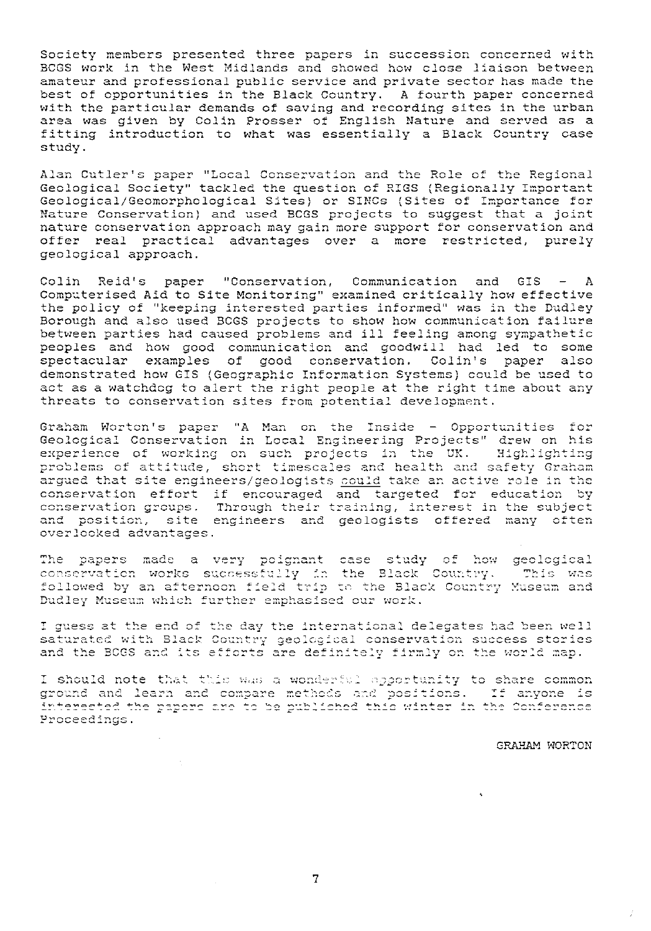Society members presented three papers in succession concerned with BCGS work in the West Midlands and showed how close liaison between amateur and professional public service and private sector has made the best of opportunities in the Black Country. A fourth paper concerned with the particular demands of saving and recording sites in the urban area was given by Colin Prosser of English Nature and served as a fitting introduction to what was essentially a Black Country case study.

Alan Cutler's paper "Local Conservation and the Role of the Regional Geological Society" tackled the question of RIGS (Regionally Important Geological/Geomorphological Sites) or SINCs (Sites of Importance for Nature Conservation) and used BCGS projects to suggest that a joint nature conservation approach may gain more support for conservation and offer real practical advantages over a more restricted, purely geological approach.

Colin Reid's paper "Conservation, Communication and GIS - A Computerised Aid to Site Monitoring" examined critically how effective the policy of "keeping interested parties informed" was in the Dudley Borough and also used BCGS projects to show how communication failure between parties had caused problems and ill feeling among sympathetic peoples and how good communication and goodwill had led to some spectacular examples of good conservation. Colin's paper also demonstrated how GIS (Geographic Information Systems) could be used to act as a watchdog to alert the right people at the right time about any threats to conservation sites from potential development.

Graham Worton's paper "A Man on the Inside - Opportunities for Geological Conservation in Local Engineering Projects" drew on his<br>experience of working on such projects in the UK. Highlighting problems of attitude, short timescales and health and safety Graham argued that site engineers/geologists could take an active role in the conservation effort if encouraged and targeted for education by conservation groups. Through their training, interest in the subject and position, site engineers and geologists offered many often overlooked advantages.

The papers made a very poignant case study of how geological conservation works successfully in the Black Country. This was followed by an afternoon field trip to the Black Country Museum and Dudley Museum which further emphasised our work.

I guess at the end of the day the international delegates had been well saturated with Black Country geological conservation success stories<br>and the BOGS and its efforts are definitely firmly on the world map.

I should note that this was a wonderful apportunity to share common ground and learn and compare methods and positions. If anyone is interested the papers are to be published this winter in the Conference Proceedings.

#### GRAHAM WORTON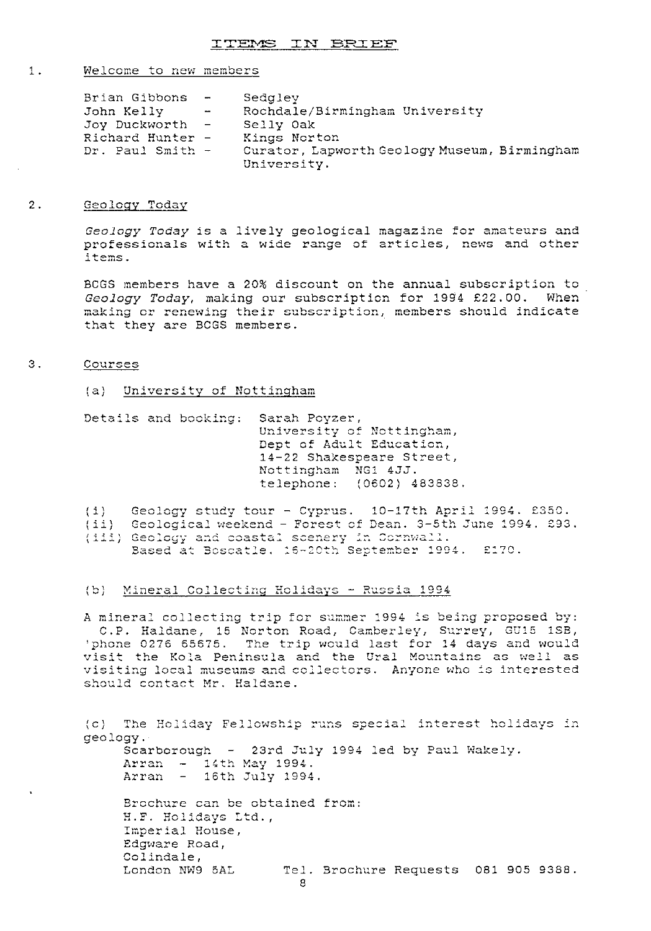#### 1. Welcome to new members

| Brian Gibbons    | $\sim$ $\sim$ $\sim$ $\sim$ | Sedgley                                      |
|------------------|-----------------------------|----------------------------------------------|
| John Kelly       | <b>Contract Contract</b>    | Rochdale/Birmingham University               |
| Joy Duckworth -  |                             | Selly Oak                                    |
| Richard Hunter - |                             | Kings Norton                                 |
| Dr. Paul Smith - |                             | Curator, Lapworth Geology Museum, Birmingham |
|                  |                             | University.                                  |

#### 2. Geology Today

*Geology Today* is a lively geological magazine for amateurs and professionals with a wide range of articles, news and other items.

BUGS members have a 20% discount on the annual subscription to Geology Today, making our subscription for 1994 £22.00. When making or renewing their subscription, members should indicate making or renewing their su<br>that they are BCGS members.

#### 3. Courses

(a) <u>University of Nottingham</u>

Details and booking; Sarah Poyzer, University of Nottingham, Dept of Adult Education. 14 - 22 Shakespeare Street, Nottingham NG1 4JJ. telephone: ( 0602) 483838.

eology study tour - Cyprus. 10-17th April 1994. £350  $\{1\}$ 

(1) decidy stady tour - cyprus. 10-11th April 1994. 2000.<br>(11) Geological weekend - Forest of Dean. 3-5th June 1994. 293 ccorcyrour weekend - rorest or<br>Geology and coastal scenery i  $\tt$  -20th $\;\dot{\;}$  Se £170.

# ension in Eigenberg estative<br>
(b) Mineral Collecting Holidays - Russia 1994

A mineral collecting trip for summer 1994 is being proposed by: C.P. Haldane, 15 Norton Road, Camberley, Surrey, GU15 1SB, b) Mineral Collecting Holidays - Russ.<br>mineral collecting trip for summer 199<br>C.P. Haldane, 15 Norton Road, Camber<br>phone 0276 65675. The trip would last<br>isit the Kola Peninsula and the Ural 6.1. Haldane, 15 Norton Road, Camberley, Surrey, GUIS 18B<br>Sphone 0276 65675. The trip would last for 14 days and would<br>visit the Kola Peninsula and the Ural Mountains as well as visit the Kola Peninsula and the Ural Mountains as wel visit the Koia Peninsula and the Graf Modntains as weil as<br>visiting local museums and collectors. Anyone who is interested should contact Mr. Haldane.

c) The Holiday Fellowship runs special interest holidays geology. Scarborough - 23rd July 1994 led by Paul Wakely.  $\text{Arran}$  - 14th May 1994.  $Array - 16th July 1994.$ Brochure can be obtained from: H.F. Holidays Ltd., Imperial House, Edgware Road, Colindale,<br>London NW9 5AL Tel. Brochure Requests 081 905 9388. S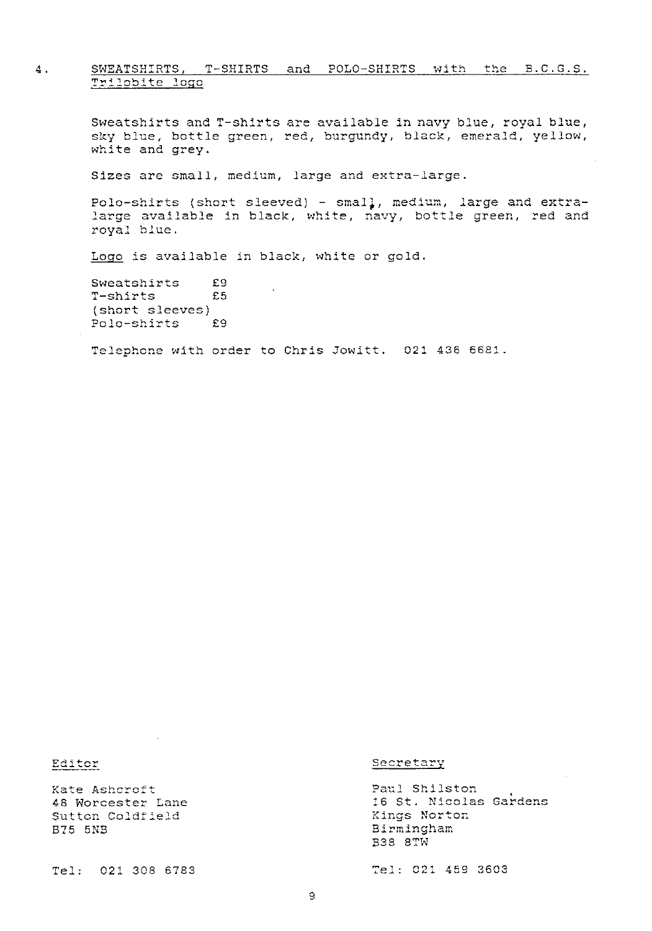#### 4. SWEATSHIRTS, T-SHIRTS and POLO-SHIRTS with the B.C.G.S. Trilobite logo

Sweatshirts and T-shirts are available in navy blue, royal blue, sky blue, bottle green, red, burgundy, black, emerald, yellow, white and grey.

Sizes are small, medium, large and extra-larg e.

Polo-shirts (short sleeved) – smal<mark>,</mark>, medium, large and extra-<br>large available in black, white, navy, bottle green, red and royal blue.

Logo is available in black, white or gold

Sweatshirts £9<br>T-shirts £5 T-shirts (short sleeves)<br>Polo-shirts £9 Polo-shirts

.<br>Telephone with order to Chris Jowitt. 021 436 6681.

Kate Ashcroft 48 Worcester Lane Sutton Coldfield B75 5M

Tel: 021 308 6783 V2: 021 459 3603

#### Editor Secretary

Paul Shilston 16 St. Nicolas Gardens re st. Nicol<br>Kings Norton Birmingham *.:J 38* 8 *rY*